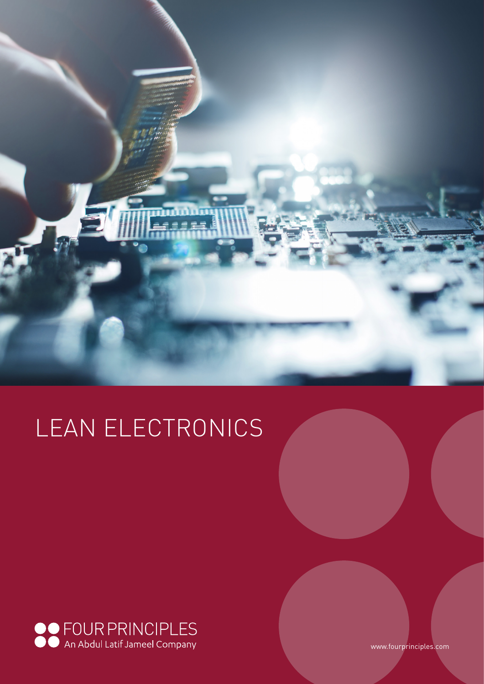

# LEAN ELECTRONICS



www.fourprinciples.com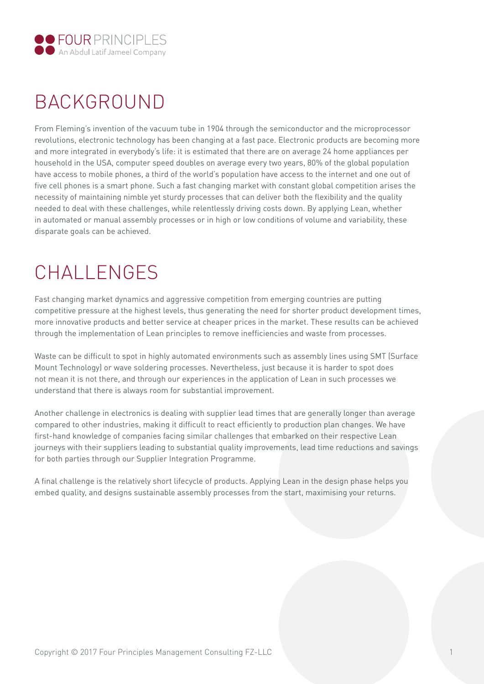

## BACKGROUND

From Fleming's invention of the vacuum tube in 1904 through the semiconductor and the microprocessor revolutions, electronic technology has been changing at a fast pace. Electronic products are becoming more and more integrated in everybody's life: it is estimated that there are on average 24 home appliances per household in the USA, computer speed doubles on average every two years, 80% of the global population have access to mobile phones, a third of the world's population have access to the internet and one out of five cell phones is a smart phone. Such a fast changing market with constant global competition arises the necessity of maintaining nimble yet sturdy processes that can deliver both the flexibility and the quality needed to deal with these challenges, while relentlessly driving costs down. By applying Lean, whether in automated or manual assembly processes or in high or low conditions of volume and variability, these disparate goals can be achieved.

## CHALLENGES

Fast changing market dynamics and aggressive competition from emerging countries are putting competitive pressure at the highest levels, thus generating the need for shorter product development times, more innovative products and better service at cheaper prices in the market. These results can be achieved through the implementation of Lean principles to remove inefficiencies and waste from processes.

Waste can be difficult to spot in highly automated environments such as assembly lines using SMT (Surface Mount Technology) or wave soldering processes. Nevertheless, just because it is harder to spot does not mean it is not there, and through our experiences in the application of Lean in such processes we understand that there is always room for substantial improvement.

Another challenge in electronics is dealing with supplier lead times that are generally longer than average compared to other industries, making it difficult to react efficiently to production plan changes. We have first-hand knowledge of companies facing similar challenges that embarked on their respective Lean journeys with their suppliers leading to substantial quality improvements, lead time reductions and savings for both parties through our Supplier Integration Programme.

A final challenge is the relatively short lifecycle of products. Applying Lean in the design phase helps you embed quality, and designs sustainable assembly processes from the start, maximising your returns.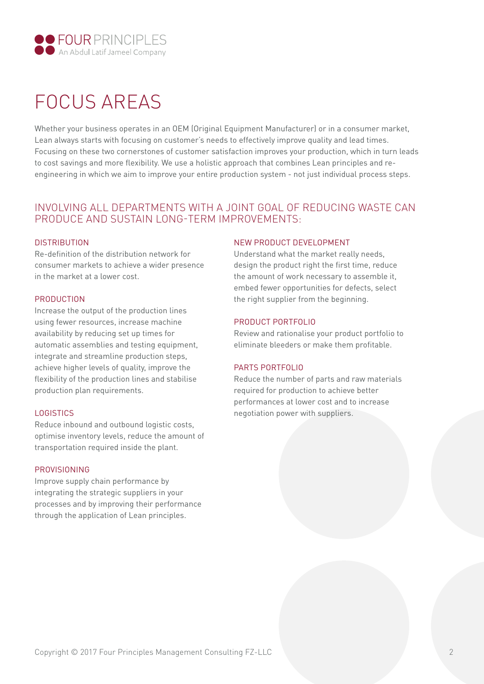

## FOCUS AREAS

Whether your business operates in an OEM (Original Equipment Manufacturer) or in a consumer market, Lean always starts with focusing on customer's needs to effectively improve quality and lead times. Focusing on these two cornerstones of customer satisfaction improves your production, which in turn leads to cost savings and more flexibility. We use a holistic approach that combines Lean principles and reengineering in which we aim to improve your entire production system - not just individual process steps.

## INVOLVING ALL DEPARTMENTS WITH A JOINT GOAL OF REDUCING WASTE CAN PRODUCE AND SUSTAIN LONG-TERM IMPROVEMENTS:

### **DISTRIBUTION**

Re-definition of the distribution network for consumer markets to achieve a wider presence in the market at a lower cost.

### PRODUCTION

Increase the output of the production lines using fewer resources, increase machine availability by reducing set up times for automatic assemblies and testing equipment, integrate and streamline production steps, achieve higher levels of quality, improve the flexibility of the production lines and stabilise production plan requirements.

### LOGISTICS

Reduce inbound and outbound logistic costs, optimise inventory levels, reduce the amount of transportation required inside the plant.

### PROVISIONING

Improve supply chain performance by integrating the strategic suppliers in your processes and by improving their performance through the application of Lean principles.

### NEW PRODUCT DEVELOPMENT

Understand what the market really needs, design the product right the first time, reduce the amount of work necessary to assemble it, embed fewer opportunities for defects, select the right supplier from the beginning.

### PRODUCT PORTFOLIO

Review and rationalise your product portfolio to eliminate bleeders or make them profitable.

### PARTS PORTFOLIO

Reduce the number of parts and raw materials required for production to achieve better performances at lower cost and to increase negotiation power with suppliers.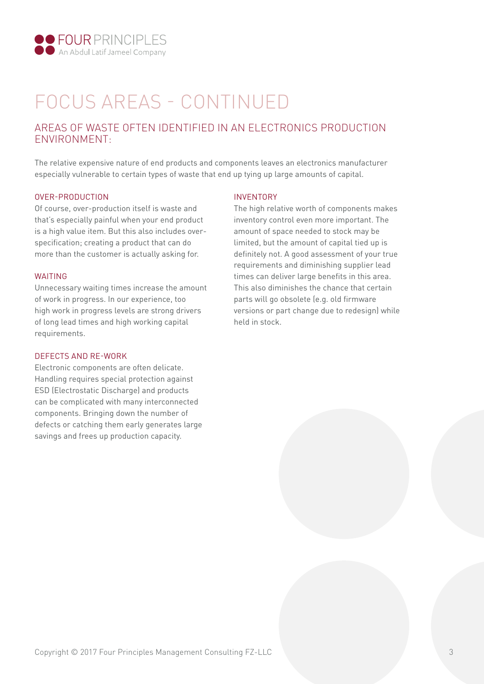

## FOCUS AREAS - CONTINUED

## AREAS OF WASTE OFTEN IDENTIFIED IN AN ELECTRONICS PRODUCTION ENVIRONMENT:

The relative expensive nature of end products and components leaves an electronics manufacturer especially vulnerable to certain types of waste that end up tying up large amounts of capital.

#### OVER-PRODUCTION

Of course, over-production itself is waste and that's especially painful when your end product is a high value item. But this also includes overspecification; creating a product that can do more than the customer is actually asking for.

#### WAITING

Unnecessary waiting times increase the amount of work in progress. In our experience, too high work in progress levels are strong drivers of long lead times and high working capital requirements.

#### DEFECTS AND RE-WORK

Electronic components are often delicate. Handling requires special protection against ESD (Electrostatic Discharge) and products can be complicated with many interconnected components. Bringing down the number of defects or catching them early generates large savings and frees up production capacity.

#### INVENTORY

The high relative worth of components makes inventory control even more important. The amount of space needed to stock may be limited, but the amount of capital tied up is definitely not. A good assessment of your true requirements and diminishing supplier lead times can deliver large benefits in this area. This also diminishes the chance that certain parts will go obsolete (e.g. old firmware versions or part change due to redesign) while held in stock.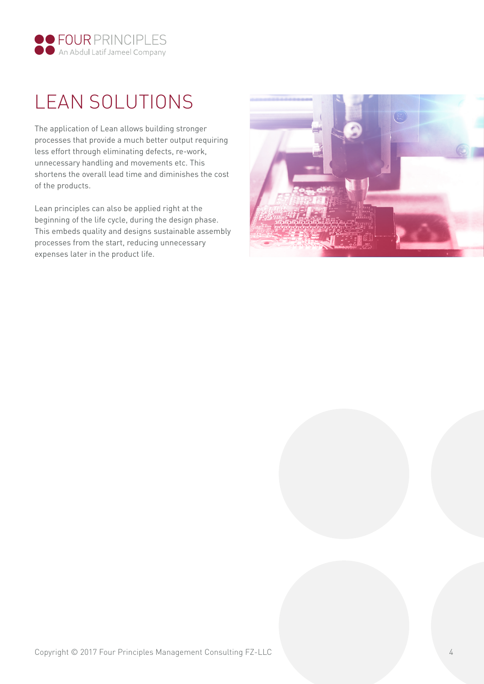

## LEAN SOLUTIONS

The application of Lean allows building stronger processes that provide a much better output requiring less effort through eliminating defects, re-work, unnecessary handling and movements etc. This shortens the overall lead time and diminishes the cost of the products.

Lean principles can also be applied right at the beginning of the life cycle, during the design phase. This embeds quality and designs sustainable assembly processes from the start, reducing unnecessary expenses later in the product life.

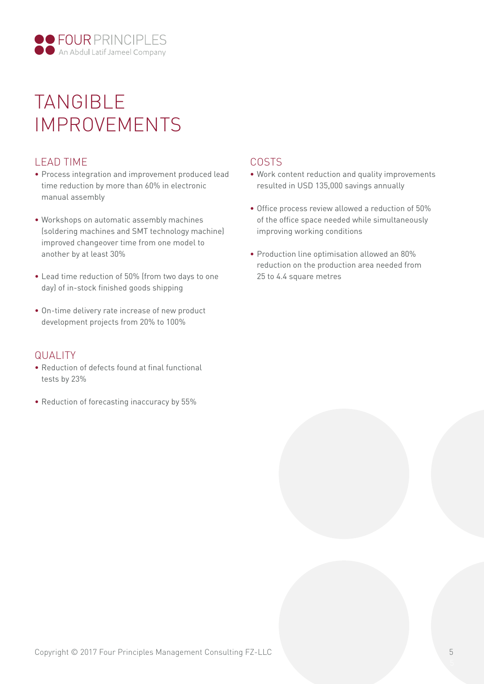

## TANGIBLE IMPROVEMENTS

## LEAD TIME

- Process integration and improvement produced lead time reduction by more than 60% in electronic manual assembly
- Workshops on automatic assembly machines (soldering machines and SMT technology machine) improved changeover time from one model to another by at least 30%
- Lead time reduction of 50% (from two days to one day) of in-stock finished goods shipping
- On-time delivery rate increase of new product development projects from 20% to 100%

### QUALITY

- Reduction of defects found at final functional tests by 23%
- Reduction of forecasting inaccuracy by 55%

## COSTS

- Work content reduction and quality improvements resulted in USD 135,000 savings annually
- Office process review allowed a reduction of 50% of the office space needed while simultaneously improving working conditions
- Production line optimisation allowed an 80% reduction on the production area needed from 25 to 4.4 square metres